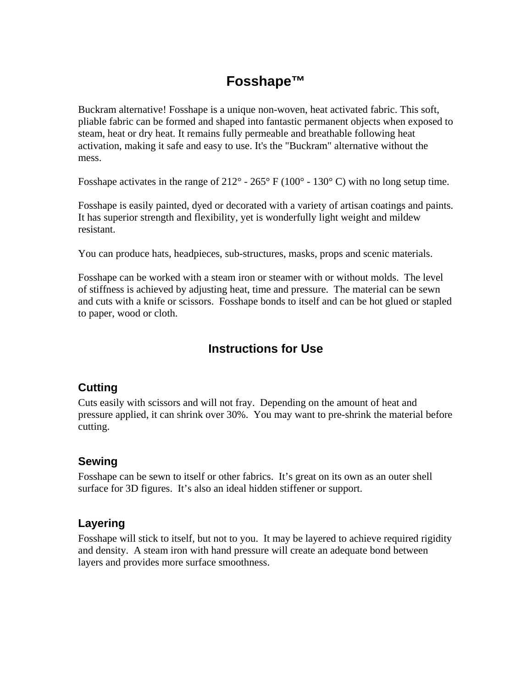# **Fosshape™**

Buckram alternative! Fosshape is a unique non-woven, heat activated fabric. This soft, pliable fabric can be formed and shaped into fantastic permanent objects when exposed to steam, heat or dry heat. It remains fully permeable and breathable following heat activation, making it safe and easy to use. It's the "Buckram" alternative without the mess.

Fosshape activates in the range of  $212^{\circ}$  -  $265^{\circ}$  F (100° - 130° C) with no long setup time.

Fosshape is easily painted, dyed or decorated with a variety of artisan coatings and paints. It has superior strength and flexibility, yet is wonderfully light weight and mildew resistant.

You can produce hats, headpieces, sub-structures, masks, props and scenic materials.

Fosshape can be worked with a steam iron or steamer with or without molds. The level of stiffness is achieved by adjusting heat, time and pressure. The material can be sewn and cuts with a knife or scissors. Fosshape bonds to itself and can be hot glued or stapled to paper, wood or cloth.

## **Instructions for Use**

#### **Cutting**

Cuts easily with scissors and will not fray. Depending on the amount of heat and pressure applied, it can shrink over 30%. You may want to pre-shrink the material before cutting.

#### **Sewing**

Fosshape can be sewn to itself or other fabrics. It's great on its own as an outer shell surface for 3D figures. It's also an ideal hidden stiffener or support.

#### **Layering**

Fosshape will stick to itself, but not to you. It may be layered to achieve required rigidity and density. A steam iron with hand pressure will create an adequate bond between layers and provides more surface smoothness.